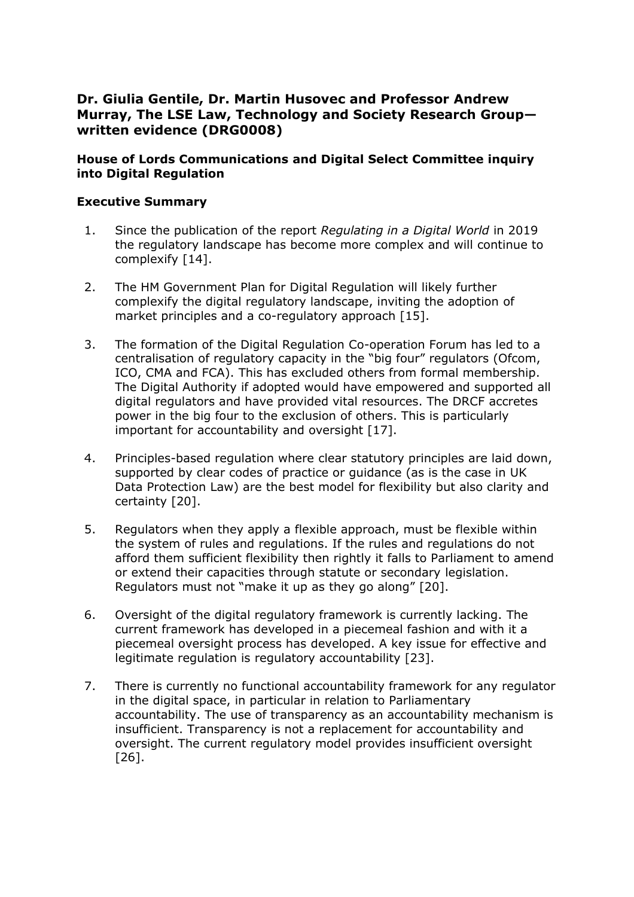# **Dr. Giulia Gentile, Dr. Martin Husovec and Professor Andrew Murray, The LSE Law, Technology and Society Research Group written evidence (DRG0008)**

## **House of Lords Communications and Digital Select Committee inquiry into Digital Regulation**

#### **Executive Summary**

- 1. Since the publication of the report *Regulating in a Digital World* in 2019 the regulatory landscape has become more complex and will continue to complexify [14].
- 2. The HM Government Plan for Digital Regulation will likely further complexify the digital regulatory landscape, inviting the adoption of market principles and a co-regulatory approach [15].
- 3. The formation of the Digital Regulation Co-operation Forum has led to a centralisation of regulatory capacity in the "big four" regulators (Ofcom, ICO, CMA and FCA). This has excluded others from formal membership. The Digital Authority if adopted would have empowered and supported all digital regulators and have provided vital resources. The DRCF accretes power in the big four to the exclusion of others. This is particularly important for accountability and oversight [17].
- 4. Principles-based regulation where clear statutory principles are laid down, supported by clear codes of practice or guidance (as is the case in UK Data Protection Law) are the best model for flexibility but also clarity and certainty [20].
- 5. Regulators when they apply a flexible approach, must be flexible within the system of rules and regulations. If the rules and regulations do not afford them sufficient flexibility then rightly it falls to Parliament to amend or extend their capacities through statute or secondary legislation. Regulators must not "make it up as they go along" [20].
- 6. Oversight of the digital regulatory framework is currently lacking. The current framework has developed in a piecemeal fashion and with it a piecemeal oversight process has developed. A key issue for effective and legitimate regulation is regulatory accountability [23].
- 7. There is currently no functional accountability framework for any regulator in the digital space, in particular in relation to Parliamentary accountability. The use of transparency as an accountability mechanism is insufficient. Transparency is not a replacement for accountability and oversight. The current regulatory model provides insufficient oversight [26].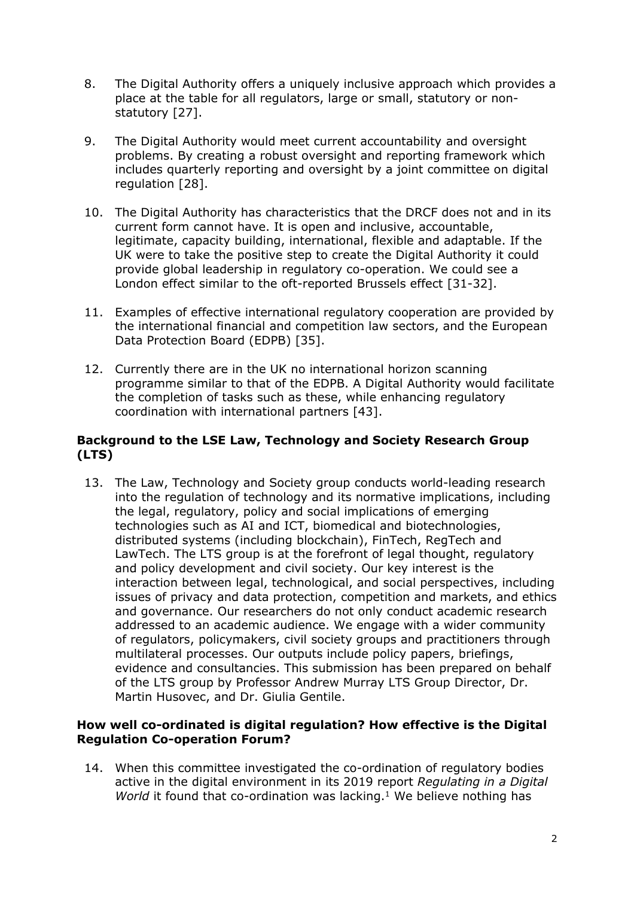- 8. The Digital Authority offers a uniquely inclusive approach which provides a place at the table for all regulators, large or small, statutory or nonstatutory [27].
- 9. The Digital Authority would meet current accountability and oversight problems. By creating a robust oversight and reporting framework which includes quarterly reporting and oversight by a joint committee on digital regulation [28].
- 10. The Digital Authority has characteristics that the DRCF does not and in its current form cannot have. It is open and inclusive, accountable, legitimate, capacity building, international, flexible and adaptable. If the UK were to take the positive step to create the Digital Authority it could provide global leadership in regulatory co-operation. We could see a London effect similar to the oft-reported Brussels effect [31-32].
- 11. Examples of effective international regulatory cooperation are provided by the international financial and competition law sectors, and the European Data Protection Board (EDPB) [35].
- 12. Currently there are in the UK no international horizon scanning programme similar to that of the EDPB. A Digital Authority would facilitate the completion of tasks such as these, while enhancing regulatory coordination with international partners [43].

## **Background to the LSE Law, Technology and Society Research Group (LTS)**

13. The Law, Technology and Society group conducts world-leading research into the regulation of technology and its normative implications, including the legal, regulatory, policy and social implications of emerging technologies such as AI and ICT, biomedical and biotechnologies, distributed systems (including blockchain), FinTech, RegTech and LawTech. The LTS group is at the forefront of legal thought, regulatory and policy development and civil society. Our key interest is the interaction between legal, technological, and social perspectives, including issues of privacy and data protection, competition and markets, and ethics and governance. Our researchers do not only conduct academic research addressed to an academic audience. We engage with a wider community of regulators, policymakers, civil society groups and practitioners through multilateral processes. Our outputs include policy papers, briefings, evidence and consultancies. This submission has been prepared on behalf of the LTS group by Professor Andrew Murray LTS Group Director, Dr. Martin Husovec, and Dr. Giulia Gentile.

## **How well co-ordinated is digital regulation? How effective is the Digital Regulation Co-operation Forum?**

14. When this committee investigated the co-ordination of regulatory bodies active in the digital environment in its 2019 report *Regulating in a Digital World* it found that co-ordination was lacking.<sup>1</sup> We believe nothing has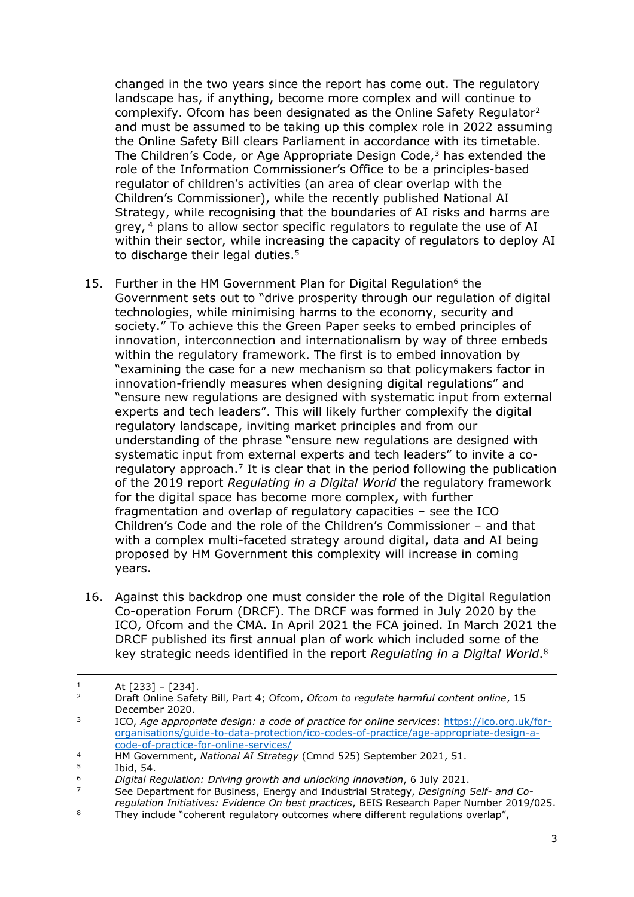changed in the two years since the report has come out. The regulatory landscape has, if anything, become more complex and will continue to complexify. Ofcom has been designated as the Online Safety Regulator<sup>2</sup> and must be assumed to be taking up this complex role in 2022 assuming the Online Safety Bill clears Parliament in accordance with its timetable. The Children's Code, or Age Appropriate Design Code,<sup>3</sup> has extended the role of the Information Commissioner's Office to be a principles-based regulator of children's activities (an area of clear overlap with the Children's Commissioner), while the recently published National AI Strategy, while recognising that the boundaries of AI risks and harms are grey, <sup>4</sup> plans to allow sector specific regulators to regulate the use of AI within their sector, while increasing the capacity of regulators to deploy AI to discharge their legal duties.<sup>5</sup>

- 15. Further in the HM Government Plan for Digital Regulation<sup>6</sup> the Government sets out to "drive prosperity through our regulation of digital technologies, while minimising harms to the economy, security and society." To achieve this the Green Paper seeks to embed principles of innovation, interconnection and internationalism by way of three embeds within the regulatory framework. The first is to embed innovation by "examining the case for a new mechanism so that policymakers factor in innovation-friendly measures when designing digital regulations" and "ensure new regulations are designed with systematic input from external experts and tech leaders". This will likely further complexify the digital regulatory landscape, inviting market principles and from our understanding of the phrase "ensure new regulations are designed with systematic input from external experts and tech leaders" to invite a coregulatory approach.<sup>7</sup> It is clear that in the period following the publication of the 2019 report *Regulating in a Digital World* the regulatory framework for the digital space has become more complex, with further fragmentation and overlap of regulatory capacities – see the ICO Children's Code and the role of the Children's Commissioner – and that with a complex multi-faceted strategy around digital, data and AI being proposed by HM Government this complexity will increase in coming years.
- 16. Against this backdrop one must consider the role of the Digital Regulation Co-operation Forum (DRCF). The DRCF was formed in July 2020 by the ICO, Ofcom and the CMA. In April 2021 the FCA joined. In March 2021 the DRCF published its first annual plan of work which included some of the key strategic needs identified in the report *Regulating in a Digital World*. 8

 $1$  At  $[233] - [234]$ .

<sup>2</sup> Draft Online Safety Bill, Part 4; Ofcom, *Ofcom to regulate harmful content online*, 15 December 2020.

<sup>3</sup> ICO, *Age appropriate design: a code of practice for online services*: [https://ico.org.uk/for](https://ico.org.uk/for-organisations/guide-to-data-protection/ico-codes-of-practice/age-appropriate-design-a-code-of-practice-for-online-services/)[organisations/guide-to-data-protection/ico-codes-of-practice/age-appropriate-design-a](https://ico.org.uk/for-organisations/guide-to-data-protection/ico-codes-of-practice/age-appropriate-design-a-code-of-practice-for-online-services/)[code-of-practice-for-online-services/](https://ico.org.uk/for-organisations/guide-to-data-protection/ico-codes-of-practice/age-appropriate-design-a-code-of-practice-for-online-services/)

<sup>4</sup> HM Government, *National AI Strategy* (Cmnd 525) September 2021, 51.

 $5$  Ibid, 54.<br>6 Digital R

<sup>6</sup> *Digital Regulation: Driving growth and unlocking innovation*, 6 July 2021.

<sup>7</sup> See Department for Business, Energy and Industrial Strategy, *Designing Self- and Coregulation Initiatives: Evidence On best practices*, BEIS Research Paper Number 2019/025.

<sup>&</sup>lt;sup>8</sup> They include "coherent regulatory outcomes where different regulations overlap",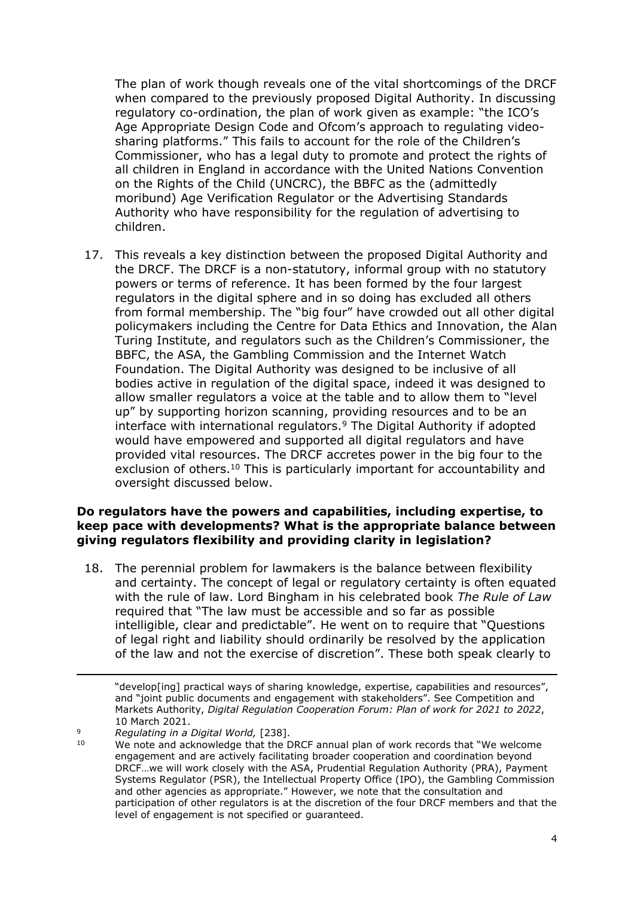The plan of work though reveals one of the vital shortcomings of the DRCF when compared to the previously proposed Digital Authority. In discussing regulatory co-ordination, the plan of work given as example: "the ICO's Age Appropriate Design Code and Ofcom's approach to regulating videosharing platforms." This fails to account for the role of the Children's Commissioner, who has a legal duty to promote and protect the rights of all children in England in accordance with the United Nations Convention on the Rights of the Child (UNCRC), the BBFC as the (admittedly moribund) Age Verification Regulator or the Advertising Standards Authority who have responsibility for the regulation of advertising to children.

17. This reveals a key distinction between the proposed Digital Authority and the DRCF. The DRCF is a non-statutory, informal group with no statutory powers or terms of reference. It has been formed by the four largest regulators in the digital sphere and in so doing has excluded all others from formal membership. The "big four" have crowded out all other digital policymakers including the Centre for Data Ethics and Innovation, the Alan Turing Institute, and regulators such as the Children's Commissioner, the BBFC, the ASA, the Gambling Commission and the Internet Watch Foundation. The Digital Authority was designed to be inclusive of all bodies active in regulation of the digital space, indeed it was designed to allow smaller regulators a voice at the table and to allow them to "level up" by supporting horizon scanning, providing resources and to be an interface with international regulators.<sup>9</sup> The Digital Authority if adopted would have empowered and supported all digital regulators and have provided vital resources. The DRCF accretes power in the big four to the exclusion of others.<sup>10</sup> This is particularly important for accountability and oversight discussed below.

#### **Do regulators have the powers and capabilities, including expertise, to keep pace with developments? What is the appropriate balance between giving regulators flexibility and providing clarity in legislation?**

18. The perennial problem for lawmakers is the balance between flexibility and certainty. The concept of legal or regulatory certainty is often equated with the rule of law. Lord Bingham in his celebrated book *The Rule of Law* required that "The law must be accessible and so far as possible intelligible, clear and predictable". He went on to require that "Questions of legal right and liability should ordinarily be resolved by the application of the law and not the exercise of discretion". These both speak clearly to

<sup>&</sup>quot;develop[ing] practical ways of sharing knowledge, expertise, capabilities and resources", and "joint public documents and engagement with stakeholders". See Competition and Markets Authority, *Digital Regulation Cooperation Forum: Plan of work for 2021 to 2022*, 10 March 2021.

<sup>9</sup> *Regulating in a Digital World,* [238].

We note and acknowledge that the DRCF annual plan of work records that "We welcome engagement and are actively facilitating broader cooperation and coordination beyond DRCF…we will work closely with the ASA, Prudential Regulation Authority (PRA), Payment Systems Regulator (PSR), the Intellectual Property Office (IPO), the Gambling Commission and other agencies as appropriate." However, we note that the consultation and participation of other regulators is at the discretion of the four DRCF members and that the level of engagement is not specified or guaranteed.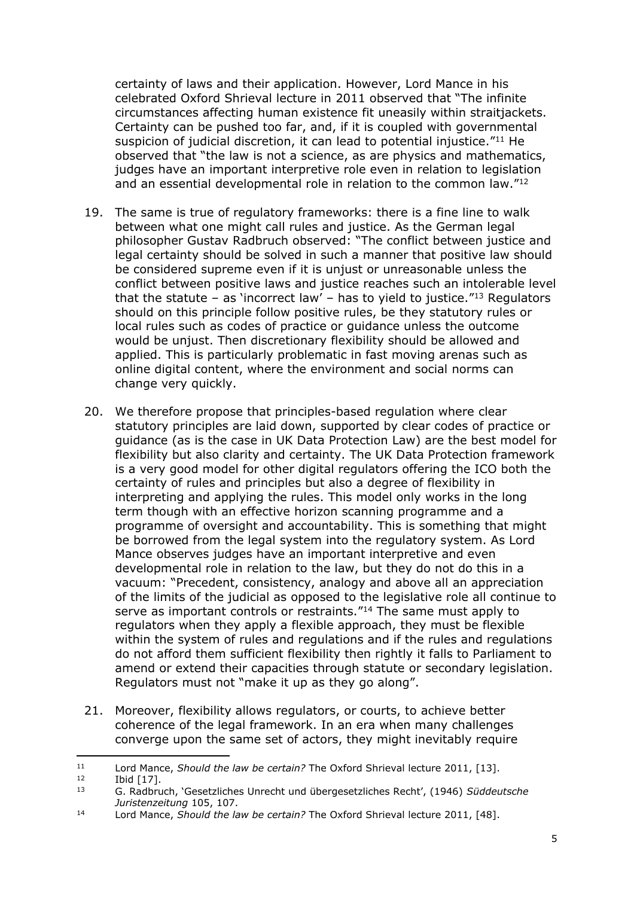certainty of laws and their application. However, Lord Mance in his celebrated Oxford Shrieval lecture in 2011 observed that "The infinite circumstances affecting human existence fit uneasily within straitjackets. Certainty can be pushed too far, and, if it is coupled with governmental suspicion of judicial discretion, it can lead to potential injustice."<sup>11</sup> He observed that "the law is not a science, as are physics and mathematics, judges have an important interpretive role even in relation to legislation and an essential developmental role in relation to the common law."<sup>12</sup>

- 19. The same is true of regulatory frameworks: there is a fine line to walk between what one might call rules and justice. As the German legal philosopher Gustav Radbruch observed: "The conflict between justice and legal certainty should be solved in such a manner that positive law should be considered supreme even if it is unjust or unreasonable unless the conflict between positive laws and justice reaches such an intolerable level that the statute – as 'incorrect law' – has to yield to justice."<sup>13</sup> Regulators should on this principle follow positive rules, be they statutory rules or local rules such as codes of practice or guidance unless the outcome would be unjust. Then discretionary flexibility should be allowed and applied. This is particularly problematic in fast moving arenas such as online digital content, where the environment and social norms can change very quickly.
- 20. We therefore propose that principles-based regulation where clear statutory principles are laid down, supported by clear codes of practice or guidance (as is the case in UK Data Protection Law) are the best model for flexibility but also clarity and certainty. The UK Data Protection framework is a very good model for other digital regulators offering the ICO both the certainty of rules and principles but also a degree of flexibility in interpreting and applying the rules. This model only works in the long term though with an effective horizon scanning programme and a programme of oversight and accountability. This is something that might be borrowed from the legal system into the regulatory system. As Lord Mance observes judges have an important interpretive and even developmental role in relation to the law, but they do not do this in a vacuum: "Precedent, consistency, analogy and above all an appreciation of the limits of the judicial as opposed to the legislative role all continue to serve as important controls or restraints."<sup>14</sup> The same must apply to regulators when they apply a flexible approach, they must be flexible within the system of rules and regulations and if the rules and regulations do not afford them sufficient flexibility then rightly it falls to Parliament to amend or extend their capacities through statute or secondary legislation. Regulators must not "make it up as they go along".
- 21. Moreover, flexibility allows regulators, or courts, to achieve better coherence of the legal framework. In an era when many challenges converge upon the same set of actors, they might inevitably require

<sup>11</sup> Lord Mance, *Should the law be certain?* The Oxford Shrieval lecture 2011, [13].

 $12$  Ibid [17].

<sup>13</sup> G. Radbruch, 'Gesetzliches Unrecht und übergesetzliches Recht', (1946) *Süddeutsche Juristenzeitung* 105, 107.

<sup>14</sup> Lord Mance, *Should the law be certain?* The Oxford Shrieval lecture 2011, [48].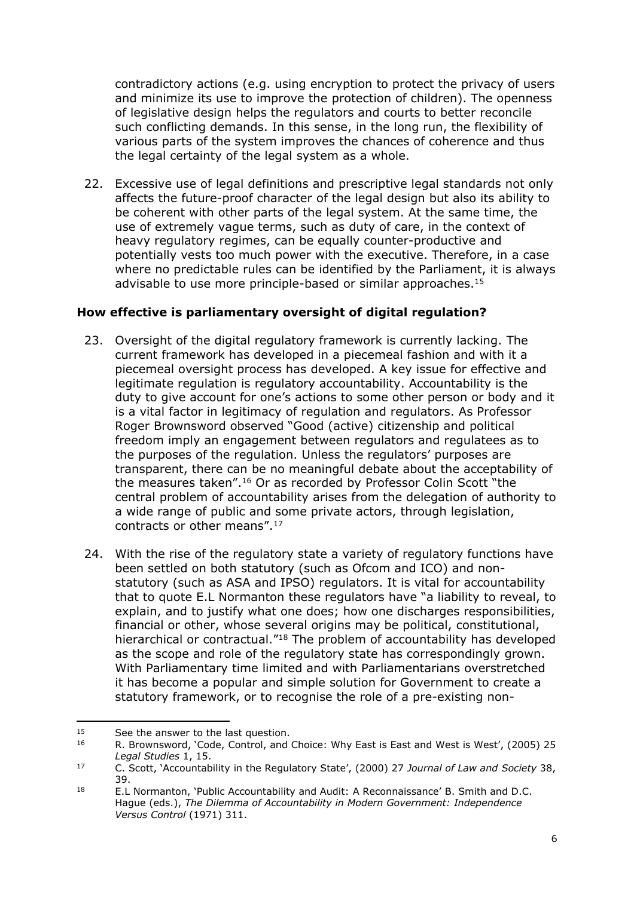contradictory actions (e.g. using encryption to protect the privacy of users and minimize its use to improve the protection of children). The openness of legislative design helps the regulators and courts to better reconcile such conflicting demands. In this sense, in the long run, the flexibility of various parts of the system improves the chances of coherence and thus the legal certainty of the legal system as a whole.

22. Excessive use of legal definitions and prescriptive legal standards not only affects the future-proof character of the legal design but also its ability to be coherent with other parts of the legal system. At the same time, the use of extremely vague terms, such as duty of care, in the context of heavy regulatory regimes, can be equally counter-productive and potentially vests too much power with the executive. Therefore, in a case where no predictable rules can be identified by the Parliament, it is always advisable to use more principle-based or similar approaches.<sup>15</sup>

## **How effective is parliamentary oversight of digital regulation?**

- 23. Oversight of the digital regulatory framework is currently lacking. The current framework has developed in a piecemeal fashion and with it a piecemeal oversight process has developed. A key issue for effective and legitimate regulation is regulatory accountability. Accountability is the duty to give account for one's actions to some other person or body and it is a vital factor in legitimacy of regulation and regulators. As Professor Roger Brownsword observed "Good (active) citizenship and political freedom imply an engagement between regulators and regulatees as to the purposes of the regulation. Unless the regulators' purposes are transparent, there can be no meaningful debate about the acceptability of the measures taken".<sup>16</sup> Or as recorded by Professor Colin Scott "the central problem of accountability arises from the delegation of authority to a wide range of public and some private actors, through legislation, contracts or other means".<sup>17</sup>
- 24. With the rise of the regulatory state a variety of regulatory functions have been settled on both statutory (such as Ofcom and ICO) and nonstatutory (such as ASA and IPSO) regulators. It is vital for accountability that to quote E.L Normanton these regulators have "a liability to reveal, to explain, and to justify what one does; how one discharges responsibilities, financial or other, whose several origins may be political, constitutional, hierarchical or contractual."<sup>18</sup> The problem of accountability has developed as the scope and role of the regulatory state has correspondingly grown. With Parliamentary time limited and with Parliamentarians overstretched it has become a popular and simple solution for Government to create a statutory framework, or to recognise the role of a pre-existing non-

<sup>&</sup>lt;sup>15</sup> See the answer to the last question.

<sup>16</sup> R. Brownsword, 'Code, Control, and Choice: Why East is East and West is West', (2005) 25 *Legal Studies* 1, 15.

<sup>17</sup> C. Scott, 'Accountability in the Regulatory State', (2000) 27 *Journal of Law and Society* 38, 39.

<sup>18</sup> E.L Normanton, 'Public Accountability and Audit: A Reconnaissance' B. Smith and D.C. Hague (eds.), *The Dilemma of Accountability in Modern Government: Independence Versus Control* (1971) 311.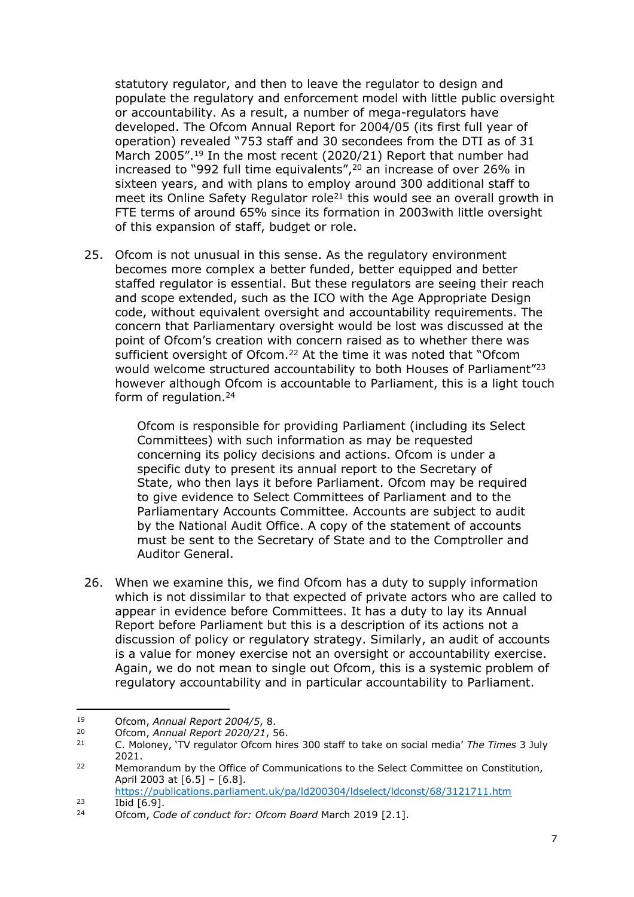statutory regulator, and then to leave the regulator to design and populate the regulatory and enforcement model with little public oversight or accountability. As a result, a number of mega-regulators have developed. The Ofcom Annual Report for 2004/05 (its first full year of operation) revealed "753 staff and 30 secondees from the DTI as of 31 March 2005".<sup>19</sup> In the most recent (2020/21) Report that number had increased to "992 full time equivalents",<sup>20</sup> an increase of over 26% in sixteen years, and with plans to employ around 300 additional staff to meet its Online Safety Regulator role<sup>21</sup> this would see an overall growth in FTE terms of around 65% since its formation in 2003with little oversight of this expansion of staff, budget or role.

25. Ofcom is not unusual in this sense. As the regulatory environment becomes more complex a better funded, better equipped and better staffed regulator is essential. But these regulators are seeing their reach and scope extended, such as the ICO with the Age Appropriate Design code, without equivalent oversight and accountability requirements. The concern that Parliamentary oversight would be lost was discussed at the point of Ofcom's creation with concern raised as to whether there was sufficient oversight of Ofcom.<sup>22</sup> At the time it was noted that "Ofcom would welcome structured accountability to both Houses of Parliament"<sup>23</sup> however although Ofcom is accountable to Parliament, this is a light touch form of regulation.<sup>24</sup>

> Ofcom is responsible for providing Parliament (including its Select Committees) with such information as may be requested concerning its policy decisions and actions. Ofcom is under a specific duty to present its annual report to the Secretary of State, who then lays it before Parliament. Ofcom may be required to give evidence to Select Committees of Parliament and to the Parliamentary Accounts Committee. Accounts are subject to audit by the National Audit Office. A copy of the statement of accounts must be sent to the Secretary of State and to the Comptroller and Auditor General.

26. When we examine this, we find Ofcom has a duty to supply information which is not dissimilar to that expected of private actors who are called to appear in evidence before Committees. It has a duty to lay its Annual Report before Parliament but this is a description of its actions not a discussion of policy or regulatory strategy. Similarly, an audit of accounts is a value for money exercise not an oversight or accountability exercise. Again, we do not mean to single out Ofcom, this is a systemic problem of regulatory accountability and in particular accountability to Parliament.

<sup>19</sup> Ofcom, *Annual Report 2004/5*, 8.

<sup>20</sup> Ofcom, *Annual Report 2020/21*, 56.

<sup>21</sup> C. Moloney, 'TV regulator Ofcom hires 300 staff to take on social media' *The Times* 3 July 2021.

<sup>&</sup>lt;sup>22</sup> Memorandum by the Office of Communications to the Select Committee on Constitution, April 2003 at [6.5] – [6.8]. <https://publications.parliament.uk/pa/ld200304/ldselect/ldconst/68/3121711.htm>

 $\frac{23}{24}$  Ibid  $\boxed{6.9}$ .

<sup>24</sup> Ofcom, *Code of conduct for: Ofcom Board* March 2019 [2.1].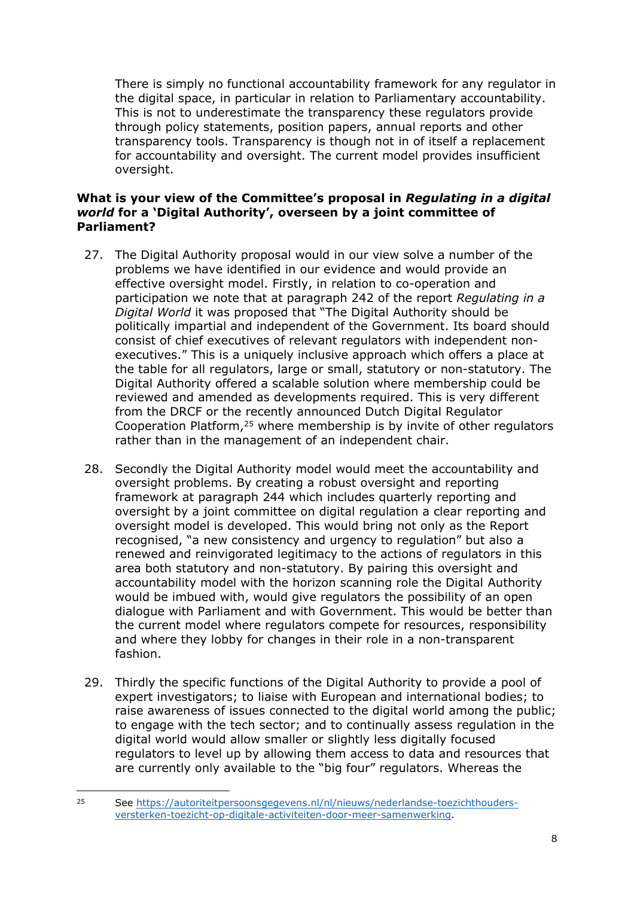There is simply no functional accountability framework for any regulator in the digital space, in particular in relation to Parliamentary accountability. This is not to underestimate the transparency these regulators provide through policy statements, position papers, annual reports and other transparency tools. Transparency is though not in of itself a replacement for accountability and oversight. The current model provides insufficient oversight.

## **What is your view of the Committee's proposal in** *Regulating in a digital world* **for a 'Digital Authority', overseen by a joint committee of Parliament?**

- 27. The Digital Authority proposal would in our view solve a number of the problems we have identified in our evidence and would provide an effective oversight model. Firstly, in relation to co-operation and participation we note that at paragraph 242 of the report *Regulating in a Digital World* it was proposed that "The Digital Authority should be politically impartial and independent of the Government. Its board should consist of chief executives of relevant regulators with independent nonexecutives." This is a uniquely inclusive approach which offers a place at the table for all regulators, large or small, statutory or non-statutory. The Digital Authority offered a scalable solution where membership could be reviewed and amended as developments required. This is very different from the DRCF or the recently announced Dutch Digital Regulator Cooperation Platform,<sup>25</sup> where membership is by invite of other regulators rather than in the management of an independent chair.
- 28. Secondly the Digital Authority model would meet the accountability and oversight problems. By creating a robust oversight and reporting framework at paragraph 244 which includes quarterly reporting and oversight by a joint committee on digital regulation a clear reporting and oversight model is developed. This would bring not only as the Report recognised, "a new consistency and urgency to regulation" but also a renewed and reinvigorated legitimacy to the actions of regulators in this area both statutory and non-statutory. By pairing this oversight and accountability model with the horizon scanning role the Digital Authority would be imbued with, would give regulators the possibility of an open dialogue with Parliament and with Government. This would be better than the current model where regulators compete for resources, responsibility and where they lobby for changes in their role in a non-transparent fashion.
- 29. Thirdly the specific functions of the Digital Authority to provide a pool of expert investigators; to liaise with European and international bodies; to raise awareness of issues connected to the digital world among the public; to engage with the tech sector; and to continually assess regulation in the digital world would allow smaller or slightly less digitally focused regulators to level up by allowing them access to data and resources that are currently only available to the "big four" regulators. Whereas the

<sup>25</sup> See [https://autoriteitpersoonsgegevens.nl/nl/nieuws/nederlandse-toezichthouders](https://autoriteitpersoonsgegevens.nl/nl/nieuws/nederlandse-toezichthouders-versterken-toezicht-op-digitale-activiteiten-door-meer-samenwerking)[versterken-toezicht-op-digitale-activiteiten-door-meer-samenwerking.](https://autoriteitpersoonsgegevens.nl/nl/nieuws/nederlandse-toezichthouders-versterken-toezicht-op-digitale-activiteiten-door-meer-samenwerking)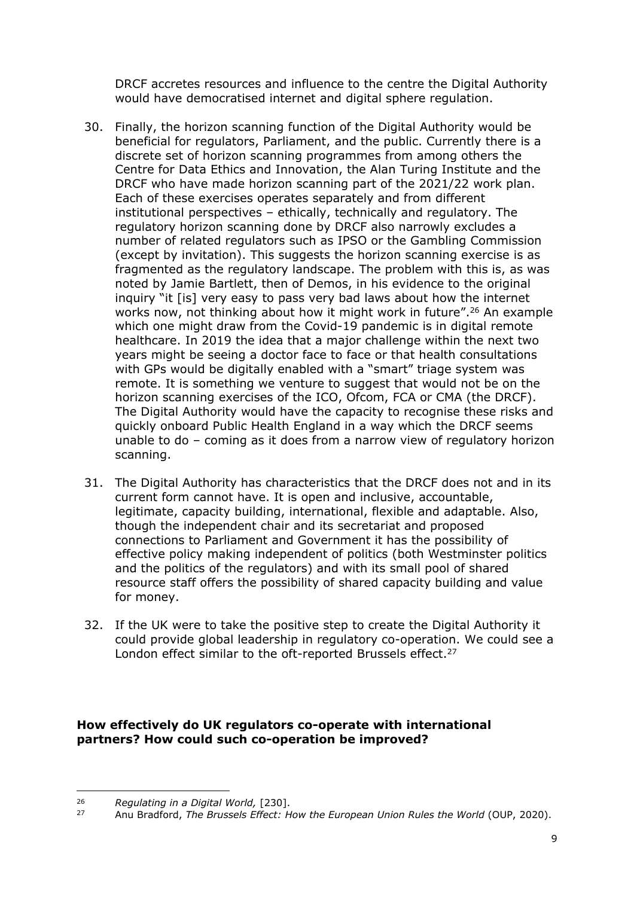DRCF accretes resources and influence to the centre the Digital Authority would have democratised internet and digital sphere regulation.

- 30. Finally, the horizon scanning function of the Digital Authority would be beneficial for regulators, Parliament, and the public. Currently there is a discrete set of horizon scanning programmes from among others the Centre for Data Ethics and Innovation, the Alan Turing Institute and the DRCF who have made horizon scanning part of the 2021/22 work plan. Each of these exercises operates separately and from different institutional perspectives – ethically, technically and regulatory. The regulatory horizon scanning done by DRCF also narrowly excludes a number of related regulators such as IPSO or the Gambling Commission (except by invitation). This suggests the horizon scanning exercise is as fragmented as the regulatory landscape. The problem with this is, as was noted by Jamie Bartlett, then of Demos, in his evidence to the original inquiry "it [is] very easy to pass very bad laws about how the internet works now, not thinking about how it might work in future".<sup>26</sup> An example which one might draw from the Covid-19 pandemic is in digital remote healthcare. In 2019 the idea that a major challenge within the next two years might be seeing a doctor face to face or that health consultations with GPs would be digitally enabled with a "smart" triage system was remote. It is something we venture to suggest that would not be on the horizon scanning exercises of the ICO, Ofcom, FCA or CMA (the DRCF). The Digital Authority would have the capacity to recognise these risks and quickly onboard Public Health England in a way which the DRCF seems unable to do – coming as it does from a narrow view of regulatory horizon scanning.
- 31. The Digital Authority has characteristics that the DRCF does not and in its current form cannot have. It is open and inclusive, accountable, legitimate, capacity building, international, flexible and adaptable. Also, though the independent chair and its secretariat and proposed connections to Parliament and Government it has the possibility of effective policy making independent of politics (both Westminster politics and the politics of the regulators) and with its small pool of shared resource staff offers the possibility of shared capacity building and value for money.
- 32. If the UK were to take the positive step to create the Digital Authority it could provide global leadership in regulatory co-operation. We could see a London effect similar to the oft-reported Brussels effect.<sup>27</sup>

**How effectively do UK regulators co-operate with international partners? How could such co-operation be improved?**

<sup>26</sup> *Regulating in a Digital World,* [230].

<sup>27</sup> Anu Bradford, *The Brussels Effect: How the European Union Rules the World* (OUP, 2020).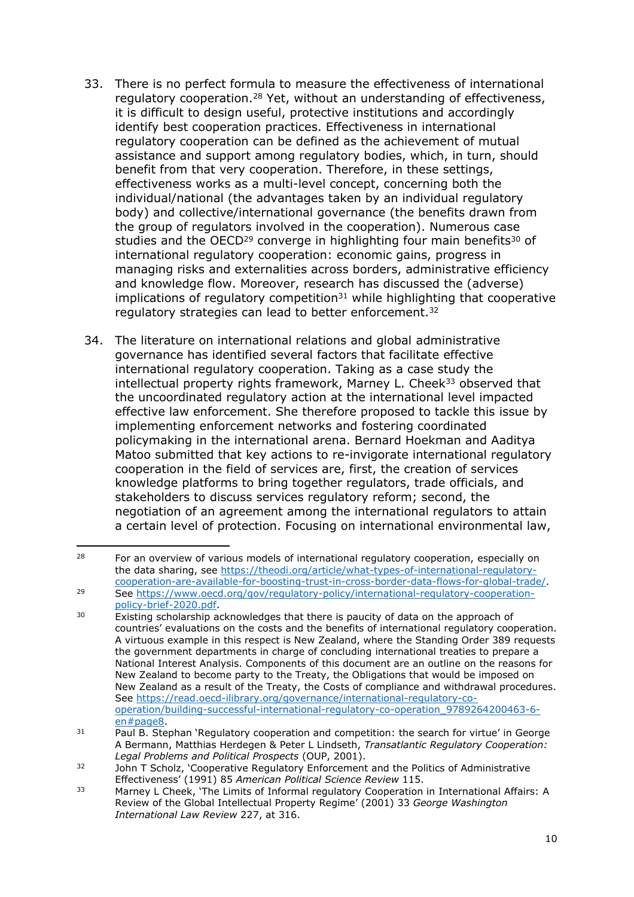- 33. There is no perfect formula to measure the effectiveness of international regulatory cooperation.<sup>28</sup> Yet, without an understanding of effectiveness, it is difficult to design useful, protective institutions and accordingly identify best cooperation practices. Effectiveness in international regulatory cooperation can be defined as the achievement of mutual assistance and support among regulatory bodies, which, in turn, should benefit from that very cooperation. Therefore, in these settings, effectiveness works as a multi-level concept, concerning both the individual/national (the advantages taken by an individual regulatory body) and collective/international governance (the benefits drawn from the group of regulators involved in the cooperation). Numerous case studies and the OECD<sup>29</sup> converge in highlighting four main benefits<sup>30</sup> of international regulatory cooperation: economic gains, progress in managing risks and externalities across borders, administrative efficiency and knowledge flow. Moreover, research has discussed the (adverse)  $implications of regulatory competition<sup>31</sup> while highlighting that cooperative$ regulatory strategies can lead to better enforcement.<sup>32</sup>
- 34. The literature on international relations and global administrative governance has identified several factors that facilitate effective international regulatory cooperation. Taking as a case study the intellectual property rights framework, Marney L. Cheek<sup>33</sup> observed that the uncoordinated regulatory action at the international level impacted effective law enforcement. She therefore proposed to tackle this issue by implementing enforcement networks and fostering coordinated policymaking in the international arena. Bernard Hoekman and Aaditya Matoo submitted that key actions to re-invigorate international regulatory cooperation in the field of services are, first, the creation of services knowledge platforms to bring together regulators, trade officials, and stakeholders to discuss services regulatory reform; second, the negotiation of an agreement among the international regulators to attain a certain level of protection. Focusing on international environmental law,

<sup>&</sup>lt;sup>28</sup> For an overview of various models of international regulatory cooperation, especially on the data sharing, see [https://theodi.org/article/what-types-of-international-regulatory](https://theodi.org/article/what-types-of-international-regulatory-cooperation-are-available-for-boosting-trust-in-cross-border-data-flows-for-global-trade/)[cooperation-are-available-for-boosting-trust-in-cross-border-data-flows-for-global-trade/.](https://theodi.org/article/what-types-of-international-regulatory-cooperation-are-available-for-boosting-trust-in-cross-border-data-flows-for-global-trade/) <sup>29</sup> See [https://www.oecd.org/gov/regulatory-policy/international-regulatory-cooperation](https://www.oecd.org/gov/regulatory-policy/international-regulatory-cooperation-policy-brief-2020.pdf)[policy-brief-2020.pdf](https://www.oecd.org/gov/regulatory-policy/international-regulatory-cooperation-policy-brief-2020.pdf).

<sup>30</sup> Existing scholarship acknowledges that there is paucity of data on the approach of countries' evaluations on the costs and the benefits of international regulatory cooperation. A virtuous example in this respect is New Zealand, where the Standing Order 389 requests the government departments in charge of concluding international treaties to prepare a National Interest Analysis. Components of this document are an outline on the reasons for New Zealand to become party to the Treaty, the Obligations that would be imposed on New Zealand as a result of the Treaty, the Costs of compliance and withdrawal procedures. See [https://read.oecd-ilibrary.org/governance/international-regulatory-co](https://read.oecd-ilibrary.org/governance/international-regulatory-co-operation/building-successful-international-regulatory-co-operation_9789264200463-6-en#page8)[operation/building-successful-international-regulatory-co-operation\\_9789264200463-6](https://read.oecd-ilibrary.org/governance/international-regulatory-co-operation/building-successful-international-regulatory-co-operation_9789264200463-6-en#page8) [en#page8](https://read.oecd-ilibrary.org/governance/international-regulatory-co-operation/building-successful-international-regulatory-co-operation_9789264200463-6-en#page8).

 $31$  Paul B. Stephan 'Regulatory cooperation and competition: the search for virtue' in George A Bermann, Matthias Herdegen & Peter L Lindseth, *Transatlantic Regulatory Cooperation: Legal Problems and Political Prospects* (OUP, 2001).

<sup>32</sup> John T Scholz, 'Cooperative Regulatory Enforcement and the Politics of Administrative Effectiveness' (1991) 85 *American Political Science Review* 115.

<sup>&</sup>lt;sup>33</sup> Marney L Cheek, 'The Limits of Informal regulatory Cooperation in International Affairs: A Review of the Global Intellectual Property Regime' (2001) 33 *George Washington International Law Review* 227, at 316.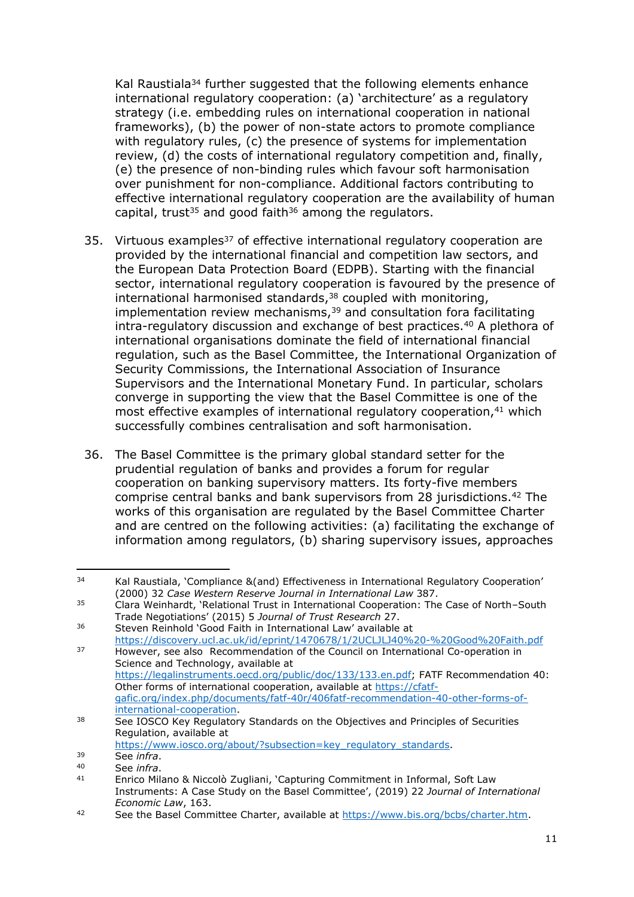Kal Raustiala<sup>34</sup> further suggested that the following elements enhance international regulatory cooperation: (a) 'architecture' as a regulatory strategy (i.e. embedding rules on international cooperation in national frameworks), (b) the power of non-state actors to promote compliance with regulatory rules, (c) the presence of systems for implementation review, (d) the costs of international regulatory competition and, finally, (e) the presence of non-binding rules which favour soft harmonisation over punishment for non-compliance. Additional factors contributing to effective international regulatory cooperation are the availability of human capital, trust<sup>35</sup> and good faith<sup>36</sup> among the regulators.

- 35. Virtuous examples<sup>37</sup> of effective international regulatory cooperation are provided by the international financial and competition law sectors, and the European Data Protection Board (EDPB). Starting with the financial sector, international regulatory cooperation is favoured by the presence of international harmonised standards,<sup>38</sup> coupled with monitoring, implementation review mechanisms, $39$  and consultation fora facilitating intra-regulatory discussion and exchange of best practices.<sup>40</sup> A plethora of international organisations dominate the field of international financial regulation, such as the Basel Committee, the International Organization of Security Commissions, the International Association of Insurance Supervisors and the International Monetary Fund. In particular, scholars converge in supporting the view that the Basel Committee is one of the most effective examples of international regulatory cooperation,<sup>41</sup> which successfully combines centralisation and soft harmonisation.
- 36. The Basel Committee is the primary global standard setter for the prudential regulation of banks and provides a forum for regular cooperation on banking supervisory matters. Its forty-five members comprise central banks and bank supervisors from 28 jurisdictions.<sup>42</sup> The works of this organisation are regulated by the Basel Committee Charter and are centred on the following activities: (a) facilitating the exchange of information among regulators, (b) sharing supervisory issues, approaches

<sup>34</sup> Kal Raustiala, 'Compliance &(and) Effectiveness in International Regulatory Cooperation' (2000) 32 *Case Western Reserve Journal in International Law* 387.

 $35$  Clara Weinhardt, 'Relational Trust in International Cooperation: The Case of North–South Trade Negotiations' (2015) 5 *Journal of Trust Research* 27.

<sup>36</sup> Steven Reinhold 'Good Faith in International Law' available at <https://discovery.ucl.ac.uk/id/eprint/1470678/1/2UCLJLJ40%20-%20Good%20Faith.pdf>

<sup>37</sup> However, see also Recommendation of the Council on International Co-operation in Science and Technology, available at [https://legalinstruments.oecd.org/public/doc/133/133.en.pdf;](https://legalinstruments.oecd.org/public/doc/133/133.en.pdf) FATF Recommendation 40: Other forms of international cooperation, available at [https://cfatf](https://cfatf-gafic.org/index.php/documents/fatf-40r/406fatf-recommendation-40-other-forms-of-international-cooperation)[gafic.org/index.php/documents/fatf-40r/406fatf-recommendation-40-other-forms-of](https://cfatf-gafic.org/index.php/documents/fatf-40r/406fatf-recommendation-40-other-forms-of-international-cooperation)[international-cooperation](https://cfatf-gafic.org/index.php/documents/fatf-40r/406fatf-recommendation-40-other-forms-of-international-cooperation).

<sup>38</sup> See IOSCO Key Regulatory Standards on the Objectives and Principles of Securities Regulation, available at

[https://www.iosco.org/about/?subsection=key\\_regulatory\\_standards.](https://www.iosco.org/about/?subsection=key_regulatory_standards)

<sup>39</sup> See *infra*.

<sup>40</sup> See *infra*.

<sup>41</sup> Enrico Milano & Niccolò Zugliani, 'Capturing Commitment in Informal, Soft Law Instruments: A Case Study on the Basel Committee', (2019) 22 *Journal of International Economic Law*, 163.

<sup>42</sup> See the Basel Committee Charter, available at <https://www.bis.org/bcbs/charter.htm>.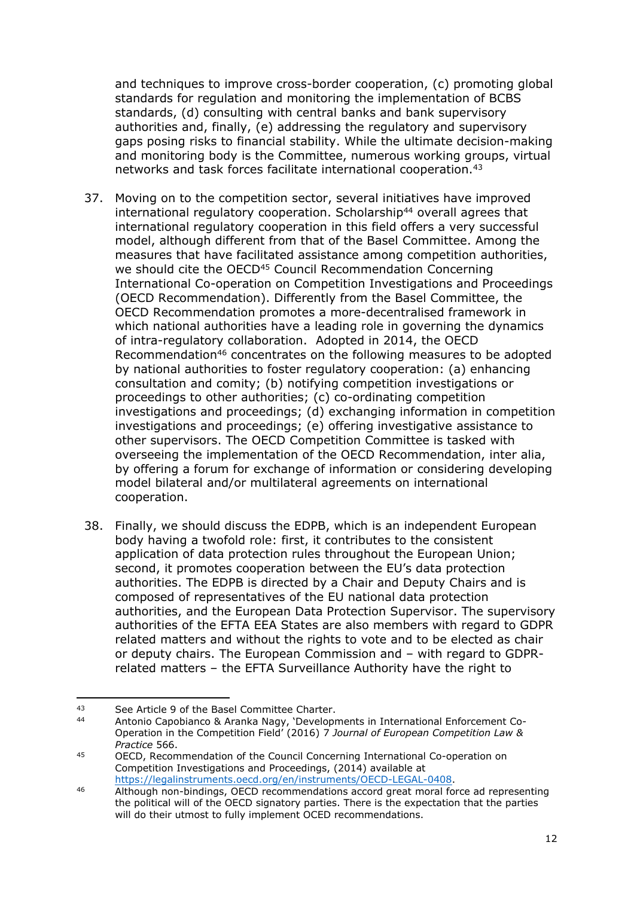and techniques to improve cross-border cooperation, (c) promoting global standards for regulation and monitoring the implementation of BCBS standards, (d) consulting with central banks and bank supervisory authorities and, finally, (e) addressing the regulatory and supervisory gaps posing risks to financial stability. While the ultimate decision-making and monitoring body is the Committee, numerous working groups, virtual networks and task forces facilitate international cooperation.<sup>43</sup>

- 37. Moving on to the competition sector, several initiatives have improved international regulatory cooperation. Scholarship<sup>44</sup> overall agrees that international regulatory cooperation in this field offers a very successful model, although different from that of the Basel Committee. Among the measures that have facilitated assistance among competition authorities, we should cite the OECD<sup>45</sup> Council Recommendation Concerning International Co-operation on Competition Investigations and Proceedings (OECD Recommendation). Differently from the Basel Committee, the OECD Recommendation promotes a more-decentralised framework in which national authorities have a leading role in governing the dynamics of intra-regulatory collaboration. Adopted in 2014, the OECD Recommendation<sup>46</sup> concentrates on the following measures to be adopted by national authorities to foster regulatory cooperation: (a) enhancing consultation and comity; (b) notifying competition investigations or proceedings to other authorities; (c) co-ordinating competition investigations and proceedings; (d) exchanging information in competition investigations and proceedings; (e) offering investigative assistance to other supervisors. The OECD Competition Committee is tasked with overseeing the implementation of the OECD Recommendation, inter alia, by offering a forum for exchange of information or considering developing model bilateral and/or multilateral agreements on international cooperation.
- 38. Finally, we should discuss the EDPB, which is an independent European body having a twofold role: first, it contributes to the consistent application of data protection rules throughout the European Union; second, it promotes cooperation between the EU's data protection authorities. The EDPB is directed by a Chair and Deputy Chairs and is composed of representatives of the EU national data protection authorities, and the European Data Protection Supervisor. The supervisory authorities of the EFTA EEA States are also members with regard to GDPR related matters and without the rights to vote and to be elected as chair or deputy chairs. The European Commission and – with regard to GDPRrelated matters – the EFTA Surveillance Authority have the right to

<sup>43</sup> See Article 9 of the Basel Committee Charter.<br>44 Aptenie Canobiance 8: Aranka Nagy 'Dougland

<sup>44</sup> Antonio Capobianco & Aranka Nagy, 'Developments in International Enforcement Co-Operation in the Competition Field' (2016) 7 *Journal of European Competition Law & Practice* 566.

<sup>45</sup> OECD, Recommendation of the Council Concerning International Co-operation on Competition Investigations and Proceedings, (2014) available at <https://legalinstruments.oecd.org/en/instruments/OECD-LEGAL-0408>.

<sup>46</sup> Although non-bindings, OECD recommendations accord great moral force ad representing the political will of the OECD signatory parties. There is the expectation that the parties will do their utmost to fully implement OCED recommendations.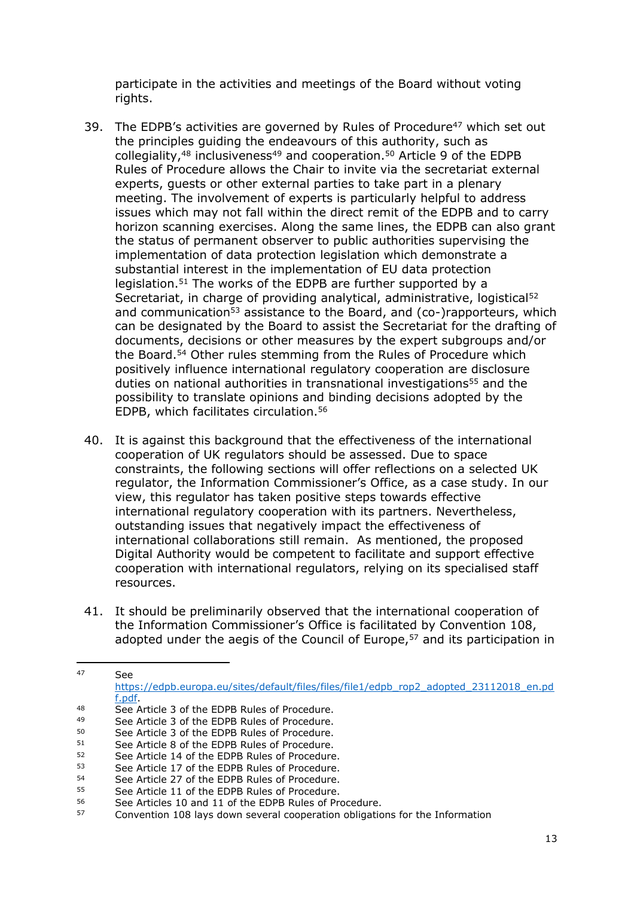participate in the activities and meetings of the Board without voting rights.

- 39. The EDPB's activities are governed by Rules of Procedure<sup>47</sup> which set out the principles guiding the endeavours of this authority, such as collegiality,<sup>48</sup> inclusiveness<sup>49</sup> and cooperation.<sup>50</sup> Article 9 of the EDPB Rules of Procedure allows the Chair to invite via the secretariat external experts, guests or other external parties to take part in a plenary meeting. The involvement of experts is particularly helpful to address issues which may not fall within the direct remit of the EDPB and to carry horizon scanning exercises. Along the same lines, the EDPB can also grant the status of permanent observer to public authorities supervising the implementation of data protection legislation which demonstrate a substantial interest in the implementation of EU data protection legislation.<sup>51</sup> The works of the EDPB are further supported by a Secretariat, in charge of providing analytical, administrative, logistical<sup>52</sup> and communication<sup>53</sup> assistance to the Board, and (co-)rapporteurs, which can be designated by the Board to assist the Secretariat for the drafting of documents, decisions or other measures by the expert subgroups and/or the Board.<sup>54</sup> Other rules stemming from the Rules of Procedure which positively influence international regulatory cooperation are disclosure duties on national authorities in transnational investigations<sup>55</sup> and the possibility to translate opinions and binding decisions adopted by the EDPB, which facilitates circulation.<sup>56</sup>
- 40. It is against this background that the effectiveness of the international cooperation of UK regulators should be assessed. Due to space constraints, the following sections will offer reflections on a selected UK regulator, the Information Commissioner's Office, as a case study. In our view, this regulator has taken positive steps towards effective international regulatory cooperation with its partners. Nevertheless, outstanding issues that negatively impact the effectiveness of international collaborations still remain. As mentioned, the proposed Digital Authority would be competent to facilitate and support effective cooperation with international regulators, relying on its specialised staff resources.
- 41. It should be preliminarily observed that the international cooperation of the Information Commissioner's Office is facilitated by Convention 108, adopted under the aegis of the Council of Europe, $57$  and its participation in

 $47 \qquad \qquad \mathsf{G}_{\mathsf{A}}$ [https://edpb.europa.eu/sites/default/files/files/file1/edpb\\_rop2\\_adopted\\_23112018\\_en.pd](https://edpb.europa.eu/sites/default/files/files/file1/edpb_rop2_adopted_23112018_en.pdf.pdf) [f.pdf.](https://edpb.europa.eu/sites/default/files/files/file1/edpb_rop2_adopted_23112018_en.pdf.pdf) 48 See Article 3 of the EDPB Rules of Procedure.<br>49 See Article 3 of the EDPB Bulse of Procedure.

See Article 3 of the EDPB Rules of Procedure.

 $50$  See Article 3 of the EDPB Rules of Procedure.<br> $51$  See Article 8 of the EDPB Rules of Procedure.

<sup>&</sup>lt;sup>51</sup> See Article 8 of the EDPB Rules of Procedure.<br>52 See Article 14 of the EDPB Rules of Procedure.

 $52$  See Article 14 of the EDPB Rules of Procedure.<br> $53$  See Article 17 of the EDPB Bules of Procedure.

 $53$  See Article 17 of the EDPB Rules of Procedure.<br> $54$  See Article 27 of the EDPB Rules of Procedure.

 $54$  See Article 27 of the EDPB Rules of Procedure.

 $55$  See Article 11 of the EDPB Rules of Procedure.<br> $56$  See Articles 10 and 11 of the EDPB Bulge of Pro-

See Articles 10 and 11 of the EDPB Rules of Procedure.

<sup>57</sup> Convention 108 lays down several cooperation obligations for the Information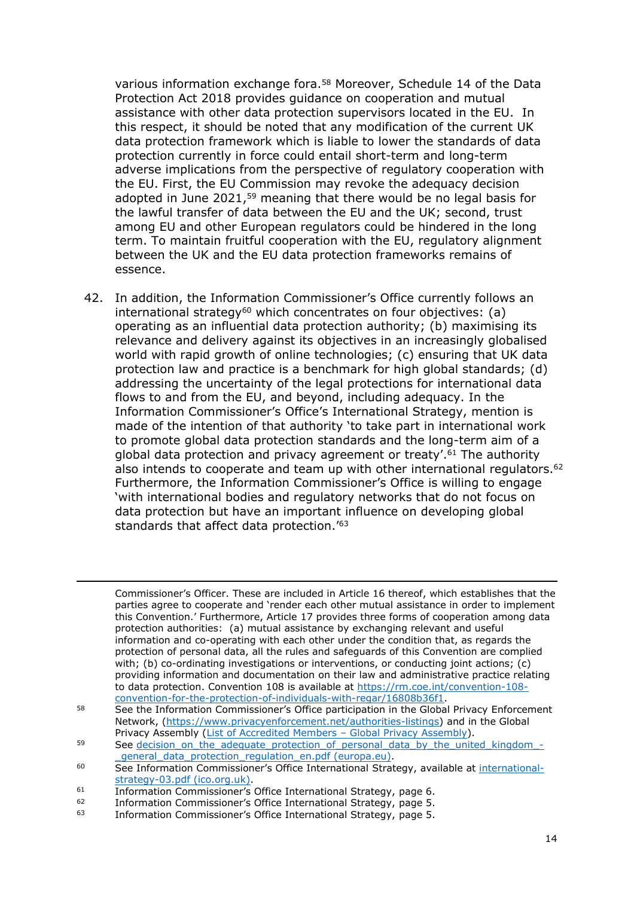various information exchange fora.<sup>58</sup> Moreover, Schedule 14 of the Data Protection Act 2018 provides guidance on cooperation and mutual assistance with other data protection supervisors located in the EU. In this respect, it should be noted that any modification of the current UK data protection framework which is liable to lower the standards of data protection currently in force could entail short-term and long-term adverse implications from the perspective of regulatory cooperation with the EU. First, the EU Commission may revoke the adequacy decision adopted in June 2021,<sup>59</sup> meaning that there would be no legal basis for the lawful transfer of data between the EU and the UK; second, trust among EU and other European regulators could be hindered in the long term. To maintain fruitful cooperation with the EU, regulatory alignment between the UK and the EU data protection frameworks remains of essence.

42. In addition, the Information Commissioner's Office currently follows an international strategy<sup>60</sup> which concentrates on four objectives:  $(a)$ operating as an influential data protection authority; (b) maximising its relevance and delivery against its objectives in an increasingly globalised world with rapid growth of online technologies; (c) ensuring that UK data protection law and practice is a benchmark for high global standards; (d) addressing the uncertainty of the legal protections for international data flows to and from the EU, and beyond, including adequacy. In the Information Commissioner's Office's International Strategy, mention is made of the intention of that authority 'to take part in international work to promote global data protection standards and the long-term aim of a global data protection and privacy agreement or treaty'.<sup>61</sup> The authority also intends to cooperate and team up with other international regulators.<sup>62</sup> Furthermore, the Information Commissioner's Office is willing to engage 'with international bodies and regulatory networks that do not focus on data protection but have an important influence on developing global standards that affect data protection.'<sup>63</sup>

Commissioner's Officer. These are included in Article 16 thereof, which establishes that the parties agree to cooperate and 'render each other mutual assistance in order to implement this Convention.' Furthermore, Article 17 provides three forms of cooperation among data protection authorities: (a) mutual assistance by exchanging relevant and useful information and co-operating with each other under the condition that, as regards the protection of personal data, all the rules and safeguards of this Convention are complied with; (b) co-ordinating investigations or interventions, or conducting joint actions; (c) providing information and documentation on their law and administrative practice relating to data protection. Convention 108 is available at [https://rm.coe.int/convention-108](https://rm.coe.int/convention-108-convention-for-the-protection-of-individuals-with-regar/16808b36f1) [convention-for-the-protection-of-individuals-with-regar/16808b36f1.](https://rm.coe.int/convention-108-convention-for-the-protection-of-individuals-with-regar/16808b36f1)

<sup>58</sup> See the Information Commissioner's Office participation in the Global Privacy Enforcement Network, [\(https://www.privacyenforcement.net/authorities-listings](https://www.privacyenforcement.net/authorities-listings)) and in the Global Privacy Assembly ([List](https://globalprivacyassembly.org/participation-in-the-assembly/list-of-accredited-members/) [of](https://globalprivacyassembly.org/participation-in-the-assembly/list-of-accredited-members/) [Accredited](https://globalprivacyassembly.org/participation-in-the-assembly/list-of-accredited-members/) [Members](https://globalprivacyassembly.org/participation-in-the-assembly/list-of-accredited-members/) - [Global](https://globalprivacyassembly.org/participation-in-the-assembly/list-of-accredited-members/) [Privacy](https://globalprivacyassembly.org/participation-in-the-assembly/list-of-accredited-members/) [Assembly\)](https://globalprivacyassembly.org/participation-in-the-assembly/list-of-accredited-members/).

<sup>59</sup> See decision on the adequate protection of personal data by the united kingdom -general data protection regulation en.pdf [\(europa.eu\)](https://ec.europa.eu/info/sites/default/files/decision_on_the_adequate_protection_of_personal_data_by_the_united_kingdom_-_general_data_protection_regulation_en.pdf).

<sup>60</sup> See Information Commissioner's Office International Strategy, available at [international](https://ico.org.uk/media/about-the-ico/documents/2014356/international-strategy-03.pdf)[strategy-03.pdf](https://ico.org.uk/media/about-the-ico/documents/2014356/international-strategy-03.pdf) [\(ico.org.uk\).](https://ico.org.uk/media/about-the-ico/documents/2014356/international-strategy-03.pdf)

<sup>&</sup>lt;sup>61</sup> Information Commissioner's Office International Strategy, page 6.<br> **Example:** Information Commissioner's Office International Strategy, page 5.

Information Commissioner's Office International Strategy, page 5.

<sup>63</sup> Information Commissioner's Office International Strategy, page 5.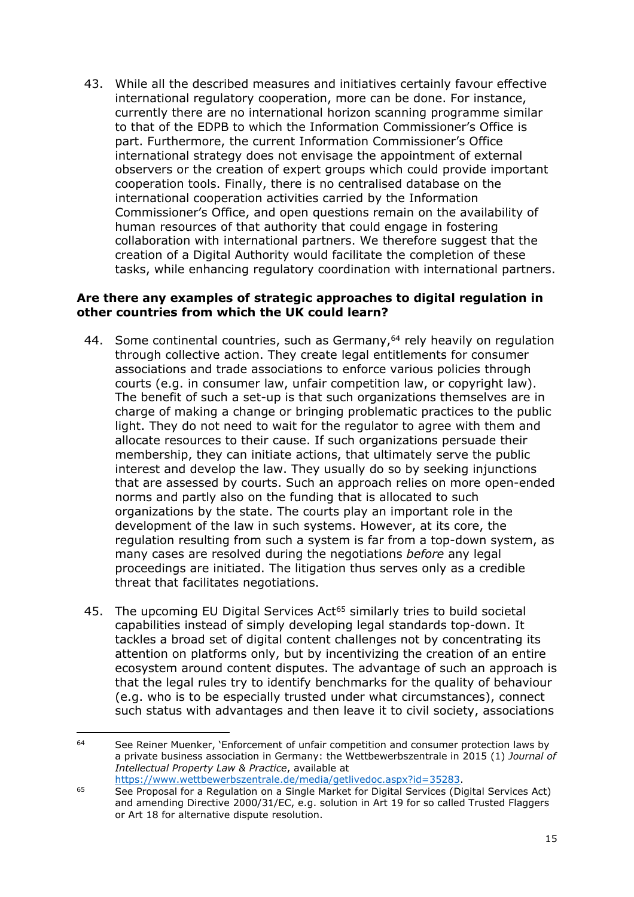43. While all the described measures and initiatives certainly favour effective international regulatory cooperation, more can be done. For instance, currently there are no international horizon scanning programme similar to that of the EDPB to which the Information Commissioner's Office is part. Furthermore, the current Information Commissioner's Office international strategy does not envisage the appointment of external observers or the creation of expert groups which could provide important cooperation tools. Finally, there is no centralised database on the international cooperation activities carried by the Information Commissioner's Office, and open questions remain on the availability of human resources of that authority that could engage in fostering collaboration with international partners. We therefore suggest that the creation of a Digital Authority would facilitate the completion of these tasks, while enhancing regulatory coordination with international partners.

#### **Are there any examples of strategic approaches to digital regulation in other countries from which the UK could learn?**

- 44. Some continental countries, such as Germany,<sup>64</sup> rely heavily on regulation through collective action. They create legal entitlements for consumer associations and trade associations to enforce various policies through courts (e.g. in consumer law, unfair competition law, or copyright law). The benefit of such a set-up is that such organizations themselves are in charge of making a change or bringing problematic practices to the public light. They do not need to wait for the regulator to agree with them and allocate resources to their cause. If such organizations persuade their membership, they can initiate actions, that ultimately serve the public interest and develop the law. They usually do so by seeking injunctions that are assessed by courts. Such an approach relies on more open-ended norms and partly also on the funding that is allocated to such organizations by the state. The courts play an important role in the development of the law in such systems. However, at its core, the regulation resulting from such a system is far from a top-down system, as many cases are resolved during the negotiations *before* any legal proceedings are initiated. The litigation thus serves only as a credible threat that facilitates negotiations.
- 45. The upcoming EU Digital Services Act<sup>65</sup> similarly tries to build societal capabilities instead of simply developing legal standards top-down. It tackles a broad set of digital content challenges not by concentrating its attention on platforms only, but by incentivizing the creation of an entire ecosystem around content disputes. The advantage of such an approach is that the legal rules try to identify benchmarks for the quality of behaviour (e.g. who is to be especially trusted under what circumstances), connect such status with advantages and then leave it to civil society, associations

<sup>&</sup>lt;sup>64</sup> See Reiner Muenker, 'Enforcement of unfair competition and consumer protection laws by a private business association in Germany: the Wettbewerbszentrale in 2015 (1) *Journal of Intellectual Property Law & Practice*, available at [https://www.wettbewerbszentrale.de/media/getlivedoc.aspx?id=35283.](https://www.wettbewerbszentrale.de/media/getlivedoc.aspx?id=35283)

<sup>65</sup> See Proposal for a Regulation on a Single Market for Digital Services (Digital Services Act) and amending Directive 2000/31/EC, e.g. solution in Art 19 for so called Trusted Flaggers or Art 18 for alternative dispute resolution.